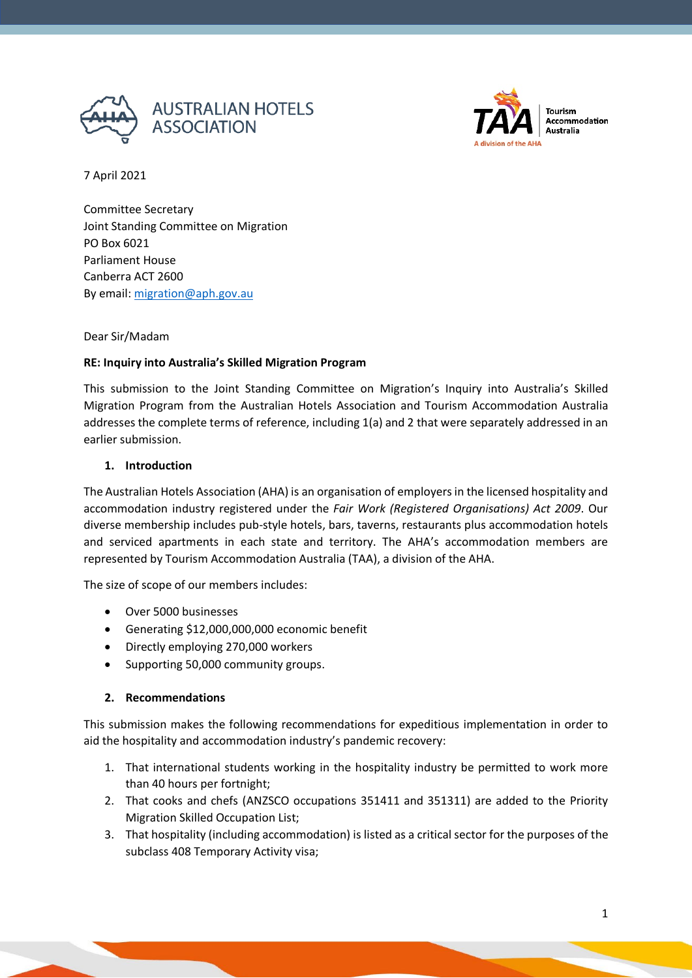



Tourism **Accommodation** Australia

7 April 2021

Committee Secretary Joint Standing Committee on Migration PO Box 6021 Parliament House Canberra ACT 2600 By email: [migration@aph.gov.au](mailto:migration@aph.gov.au)

### Dear Sir/Madam

### **RE: Inquiry into Australia's Skilled Migration Program**

This submission to the Joint Standing Committee on Migration's Inquiry into Australia's Skilled Migration Program from the Australian Hotels Association and Tourism Accommodation Australia addresses the complete terms of reference, including 1(a) and 2 that were separately addressed in an earlier submission.

#### **1. Introduction**

The Australian Hotels Association (AHA) is an organisation of employers in the licensed hospitality and accommodation industry registered under the *Fair Work (Registered Organisations) Act 2009*. Our diverse membership includes pub-style hotels, bars, taverns, restaurants plus accommodation hotels and serviced apartments in each state and territory. The AHA's accommodation members are represented by Tourism Accommodation Australia (TAA), a division of the AHA.

The size of scope of our members includes:

- Over 5000 businesses
- Generating \$12,000,000,000 economic benefit
- Directly employing 270,000 workers
- Supporting 50,000 community groups.

#### **2. Recommendations**

This submission makes the following recommendations for expeditious implementation in order to aid the hospitality and accommodation industry's pandemic recovery:

- 1. That international students working in the hospitality industry be permitted to work more than 40 hours per fortnight;
- 2. That cooks and chefs (ANZSCO occupations 351411 and 351311) are added to the Priority Migration Skilled Occupation List;
- 3. That hospitality (including accommodation) is listed as a critical sector for the purposes of the subclass 408 Temporary Activity visa;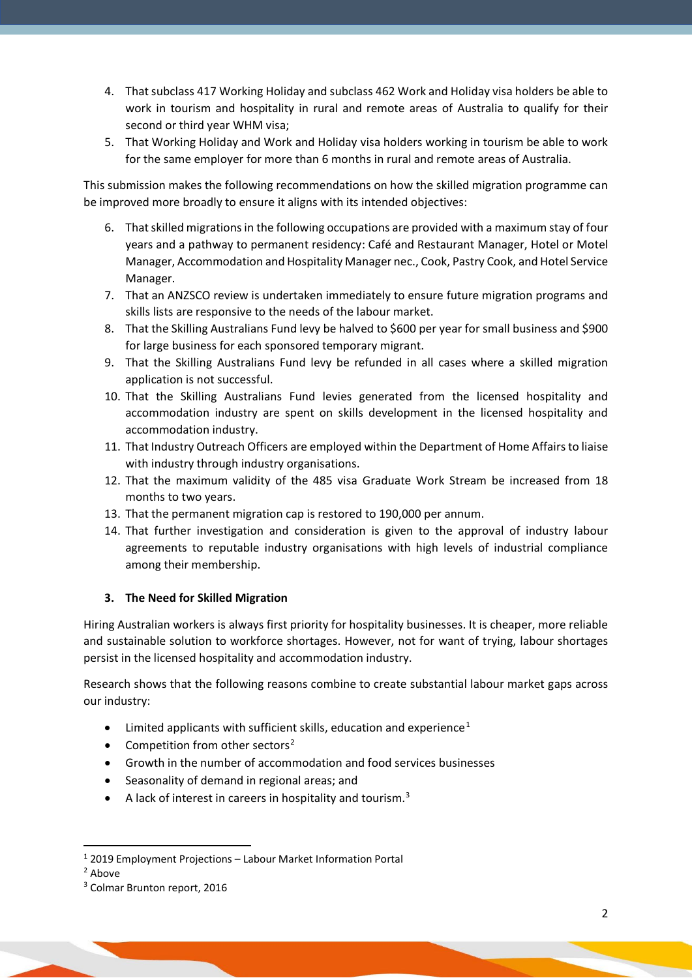- 4. That subclass 417 Working Holiday and subclass 462 Work and Holiday visa holders be able to work in tourism and hospitality in rural and remote areas of Australia to qualify for their second or third year WHM visa;
- 5. That Working Holiday and Work and Holiday visa holders working in tourism be able to work for the same employer for more than 6 months in rural and remote areas of Australia.

This submission makes the following recommendations on how the skilled migration programme can be improved more broadly to ensure it aligns with its intended objectives:

- 6. That skilled migrations in the following occupations are provided with a maximum stay of four years and a pathway to permanent residency: Café and Restaurant Manager, Hotel or Motel Manager, Accommodation and Hospitality Manager nec., Cook, Pastry Cook, and Hotel Service Manager.
- 7. That an ANZSCO review is undertaken immediately to ensure future migration programs and skills lists are responsive to the needs of the labour market.
- 8. That the Skilling Australians Fund levy be halved to \$600 per year for small business and \$900 for large business for each sponsored temporary migrant.
- 9. That the Skilling Australians Fund levy be refunded in all cases where a skilled migration application is not successful.
- 10. That the Skilling Australians Fund levies generated from the licensed hospitality and accommodation industry are spent on skills development in the licensed hospitality and accommodation industry.
- 11. That Industry Outreach Officers are employed within the Department of Home Affairs to liaise with industry through industry organisations.
- 12. That the maximum validity of the 485 visa Graduate Work Stream be increased from 18 months to two years.
- 13. That the permanent migration cap is restored to 190,000 per annum.
- 14. That further investigation and consideration is given to the approval of industry labour agreements to reputable industry organisations with high levels of industrial compliance among their membership.

#### **3. The Need for Skilled Migration**

Hiring Australian workers is always first priority for hospitality businesses. It is cheaper, more reliable and sustainable solution to workforce shortages. However, not for want of trying, labour shortages persist in the licensed hospitality and accommodation industry.

Research shows that the following reasons combine to create substantial labour market gaps across our industry:

- Limited applicants with sufficient skills, education and experience<sup>[1](#page-1-0)</sup>
- Competition from other sectors<sup>[2](#page-1-1)</sup>
- Growth in the number of accommodation and food services businesses
- Seasonality of demand in regional areas; and
- A lack of interest in careers in hospitality and tourism. $3$

<sup>1</sup> 2019 Employment Projections – Labour Market Information Portal

<span id="page-1-2"></span><span id="page-1-1"></span><span id="page-1-0"></span><sup>&</sup>lt;sup>2</sup> Above

<sup>&</sup>lt;sup>3</sup> Colmar Brunton report, 2016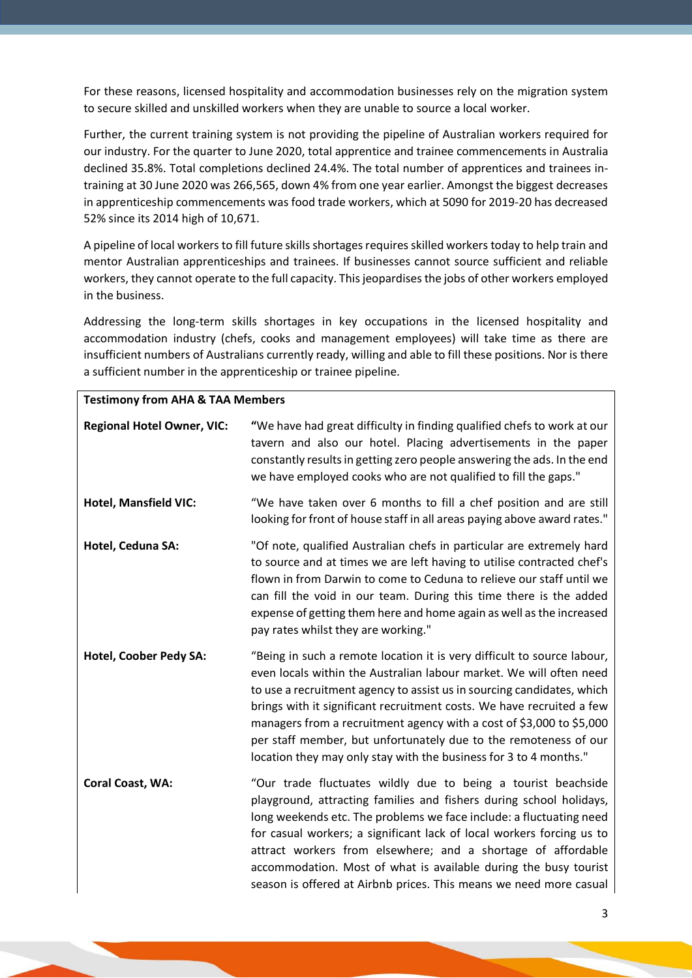For these reasons, licensed hospitality and accommodation businesses rely on the migration system to secure skilled and unskilled workers when they are unable to source a local worker.

Further, the current training system is not providing the pipeline of Australian workers required for our industry. For the quarter to June 2020, total apprentice and trainee commencements in Australia declined 35.8%. Total completions declined 24.4%. The total number of apprentices and trainees intraining at 30 June 2020 was 266,565, down 4% from one year earlier. Amongst the biggest decreases in apprenticeship commencements was food trade workers, which at 5090 for 2019-20 has decreased 52% since its 2014 high of 10,671.

A pipeline of local workers to fill future skills shortages requires skilled workers today to help train and mentor Australian apprenticeships and trainees. If businesses cannot source sufficient and reliable workers, they cannot operate to the full capacity. This jeopardises the jobs of other workers employed in the business.

Addressing the long-term skills shortages in key occupations in the licensed hospitality and accommodation industry (chefs, cooks and management employees) will take time as there are insufficient numbers of Australians currently ready, willing and able to fill these positions. Nor is there a sufficient number in the apprenticeship or trainee pipeline.

| <b>Testimony from AHA &amp; TAA Members</b> |                                                                                                                                                                                                                                                                                                                                                                                                                                                                                                                    |
|---------------------------------------------|--------------------------------------------------------------------------------------------------------------------------------------------------------------------------------------------------------------------------------------------------------------------------------------------------------------------------------------------------------------------------------------------------------------------------------------------------------------------------------------------------------------------|
| <b>Regional Hotel Owner, VIC:</b>           | "We have had great difficulty in finding qualified chefs to work at our<br>tavern and also our hotel. Placing advertisements in the paper<br>constantly results in getting zero people answering the ads. In the end<br>we have employed cooks who are not qualified to fill the gaps."                                                                                                                                                                                                                            |
| <b>Hotel, Mansfield VIC:</b>                | "We have taken over 6 months to fill a chef position and are still<br>looking for front of house staff in all areas paying above award rates."                                                                                                                                                                                                                                                                                                                                                                     |
| Hotel, Ceduna SA:                           | "Of note, qualified Australian chefs in particular are extremely hard<br>to source and at times we are left having to utilise contracted chef's<br>flown in from Darwin to come to Ceduna to relieve our staff until we<br>can fill the void in our team. During this time there is the added<br>expense of getting them here and home again as well as the increased<br>pay rates whilst they are working."                                                                                                       |
| Hotel, Coober Pedy SA:                      | "Being in such a remote location it is very difficult to source labour,<br>even locals within the Australian labour market. We will often need<br>to use a recruitment agency to assist us in sourcing candidates, which<br>brings with it significant recruitment costs. We have recruited a few<br>managers from a recruitment agency with a cost of \$3,000 to \$5,000<br>per staff member, but unfortunately due to the remoteness of our<br>location they may only stay with the business for 3 to 4 months." |
| <b>Coral Coast, WA:</b>                     | "Our trade fluctuates wildly due to being a tourist beachside<br>playground, attracting families and fishers during school holidays,<br>long weekends etc. The problems we face include: a fluctuating need<br>for casual workers; a significant lack of local workers forcing us to<br>attract workers from elsewhere; and a shortage of affordable<br>accommodation. Most of what is available during the busy tourist<br>season is offered at Airbnb prices. This means we need more casual                     |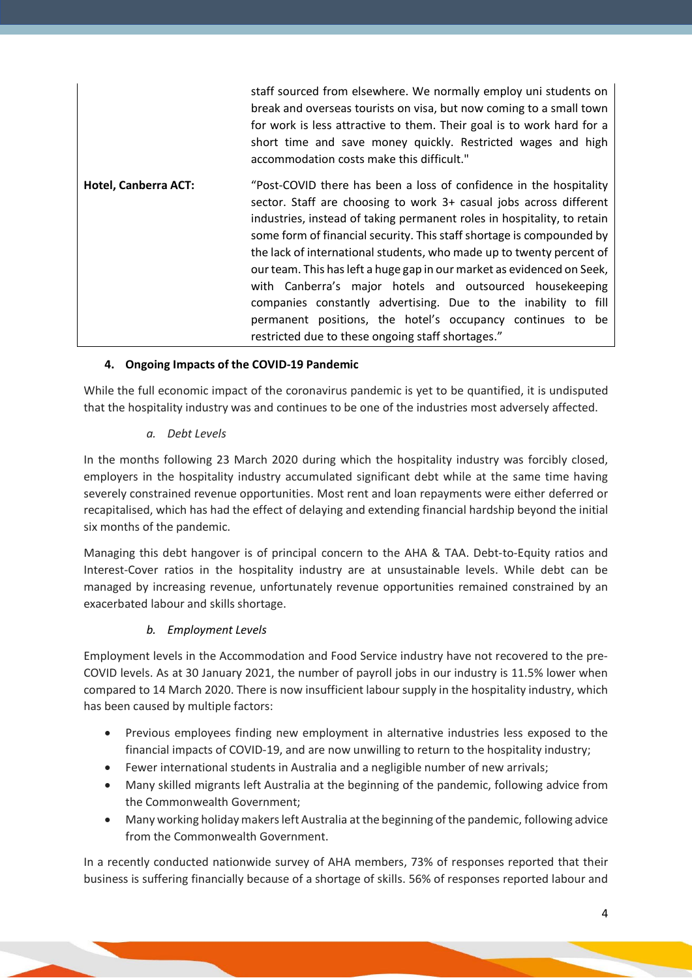|                      | staff sourced from elsewhere. We normally employ uni students on<br>break and overseas tourists on visa, but now coming to a small town<br>for work is less attractive to them. Their goal is to work hard for a<br>short time and save money quickly. Restricted wages and high<br>accommodation costs make this difficult."                                                                                                                                                                                                                                                                                                                                                                   |
|----------------------|-------------------------------------------------------------------------------------------------------------------------------------------------------------------------------------------------------------------------------------------------------------------------------------------------------------------------------------------------------------------------------------------------------------------------------------------------------------------------------------------------------------------------------------------------------------------------------------------------------------------------------------------------------------------------------------------------|
| Hotel, Canberra ACT: | "Post-COVID there has been a loss of confidence in the hospitality<br>sector. Staff are choosing to work 3+ casual jobs across different<br>industries, instead of taking permanent roles in hospitality, to retain<br>some form of financial security. This staff shortage is compounded by<br>the lack of international students, who made up to twenty percent of<br>our team. This has left a huge gap in our market as evidenced on Seek,<br>with Canberra's major hotels and outsourced housekeeping<br>companies constantly advertising. Due to the inability to fill<br>permanent positions, the hotel's occupancy continues to be<br>restricted due to these ongoing staff shortages." |

# **4. Ongoing Impacts of the COVID-19 Pandemic**

While the full economic impact of the coronavirus pandemic is yet to be quantified, it is undisputed that the hospitality industry was and continues to be one of the industries most adversely affected.

### *a. Debt Levels*

In the months following 23 March 2020 during which the hospitality industry was forcibly closed, employers in the hospitality industry accumulated significant debt while at the same time having severely constrained revenue opportunities. Most rent and loan repayments were either deferred or recapitalised, which has had the effect of delaying and extending financial hardship beyond the initial six months of the pandemic.

Managing this debt hangover is of principal concern to the AHA & TAA. Debt-to-Equity ratios and Interest-Cover ratios in the hospitality industry are at unsustainable levels. While debt can be managed by increasing revenue, unfortunately revenue opportunities remained constrained by an exacerbated labour and skills shortage.

# *b. Employment Levels*

Employment levels in the Accommodation and Food Service industry have not recovered to the pre-COVID levels. As at 30 January 2021, the number of payroll jobs in our industry is 11.5% lower when compared to 14 March 2020. There is now insufficient labour supply in the hospitality industry, which has been caused by multiple factors:

- Previous employees finding new employment in alternative industries less exposed to the financial impacts of COVID-19, and are now unwilling to return to the hospitality industry;
- Fewer international students in Australia and a negligible number of new arrivals;
- Many skilled migrants left Australia at the beginning of the pandemic, following advice from the Commonwealth Government;
- Many working holiday makers left Australia at the beginning of the pandemic, following advice from the Commonwealth Government.

In a recently conducted nationwide survey of AHA members, 73% of responses reported that their business is suffering financially because of a shortage of skills. 56% of responses reported labour and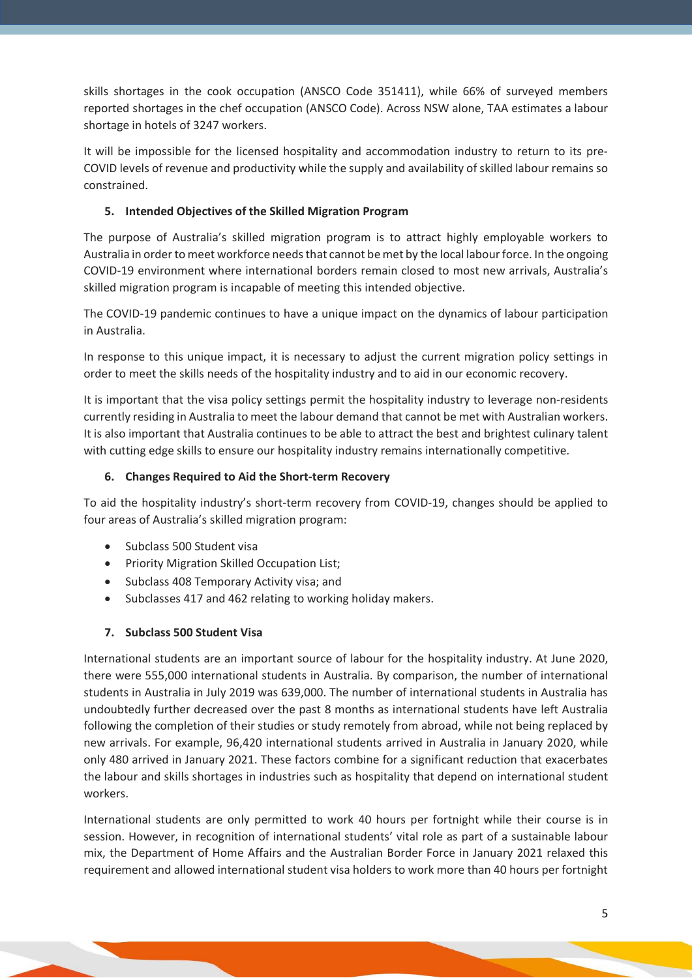skills shortages in the cook occupation (ANSCO Code 351411), while 66% of surveyed members reported shortages in the chef occupation (ANSCO Code). Across NSW alone, TAA estimates a labour shortage in hotels of 3247 workers.

It will be impossible for the licensed hospitality and accommodation industry to return to its pre-COVID levels of revenue and productivity while the supply and availability of skilled labour remains so constrained.

## **5. Intended Objectives of the Skilled Migration Program**

The purpose of Australia's skilled migration program is to attract highly employable workers to Australia in order to meet workforce needs that cannot be met by the local labour force. In the ongoing COVID-19 environment where international borders remain closed to most new arrivals, Australia's skilled migration program is incapable of meeting this intended objective.

The COVID-19 pandemic continues to have a unique impact on the dynamics of labour participation in Australia.

In response to this unique impact, it is necessary to adjust the current migration policy settings in order to meet the skills needs of the hospitality industry and to aid in our economic recovery.

It is important that the visa policy settings permit the hospitality industry to leverage non-residents currently residing in Australia to meet the labour demand that cannot be met with Australian workers. It is also important that Australia continues to be able to attract the best and brightest culinary talent with cutting edge skills to ensure our hospitality industry remains internationally competitive.

### **6. Changes Required to Aid the Short-term Recovery**

To aid the hospitality industry's short-term recovery from COVID-19, changes should be applied to four areas of Australia's skilled migration program:

- Subclass 500 Student visa
- Priority Migration Skilled Occupation List;
- Subclass 408 Temporary Activity visa; and
- Subclasses 417 and 462 relating to working holiday makers.

#### **7. Subclass 500 Student Visa**

International students are an important source of labour for the hospitality industry. At June 2020, there were 555,000 international students in Australia. By comparison, the number of international students in Australia in July 2019 was 639,000. The number of international students in Australia has undoubtedly further decreased over the past 8 months as international students have left Australia following the completion of their studies or study remotely from abroad, while not being replaced by new arrivals. For example, 96,420 international students arrived in Australia in January 2020, while only 480 arrived in January 2021. These factors combine for a significant reduction that exacerbates the labour and skills shortages in industries such as hospitality that depend on international student workers.

International students are only permitted to work 40 hours per fortnight while their course is in session. However, in recognition of international students' vital role as part of a sustainable labour mix, the Department of Home Affairs and the Australian Border Force in January 2021 relaxed this requirement and allowed international student visa holders to work more than 40 hours per fortnight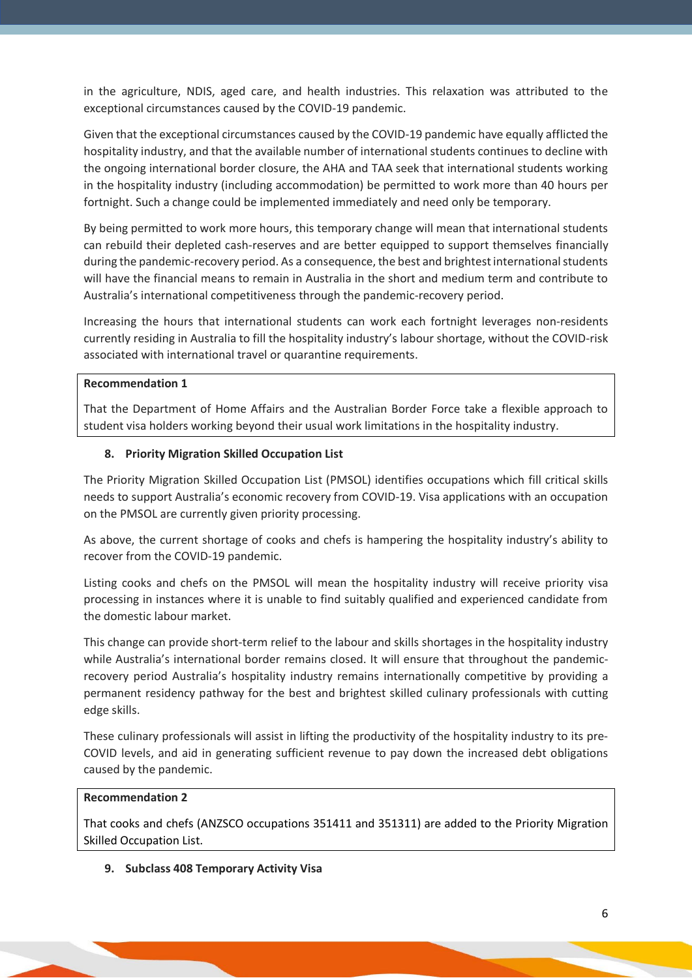in the agriculture, NDIS, aged care, and health industries. This relaxation was attributed to the exceptional circumstances caused by the COVID-19 pandemic.

Given that the exceptional circumstances caused by the COVID-19 pandemic have equally afflicted the hospitality industry, and that the available number of international students continues to decline with the ongoing international border closure, the AHA and TAA seek that international students working in the hospitality industry (including accommodation) be permitted to work more than 40 hours per fortnight. Such a change could be implemented immediately and need only be temporary.

By being permitted to work more hours, this temporary change will mean that international students can rebuild their depleted cash-reserves and are better equipped to support themselves financially during the pandemic-recovery period. As a consequence, the best and brightest international students will have the financial means to remain in Australia in the short and medium term and contribute to Australia's international competitiveness through the pandemic-recovery period.

Increasing the hours that international students can work each fortnight leverages non-residents currently residing in Australia to fill the hospitality industry's labour shortage, without the COVID-risk associated with international travel or quarantine requirements.

#### **Recommendation 1**

That the Department of Home Affairs and the Australian Border Force take a flexible approach to student visa holders working beyond their usual work limitations in the hospitality industry.

#### **8. Priority Migration Skilled Occupation List**

The Priority Migration Skilled Occupation List (PMSOL) identifies occupations which fill critical skills needs to support Australia's economic recovery from COVID-19. Visa applications with an occupation on the PMSOL are currently given priority processing.

As above, the current shortage of cooks and chefs is hampering the hospitality industry's ability to recover from the COVID-19 pandemic.

Listing cooks and chefs on the PMSOL will mean the hospitality industry will receive priority visa processing in instances where it is unable to find suitably qualified and experienced candidate from the domestic labour market.

This change can provide short-term relief to the labour and skills shortages in the hospitality industry while Australia's international border remains closed. It will ensure that throughout the pandemicrecovery period Australia's hospitality industry remains internationally competitive by providing a permanent residency pathway for the best and brightest skilled culinary professionals with cutting edge skills.

These culinary professionals will assist in lifting the productivity of the hospitality industry to its pre-COVID levels, and aid in generating sufficient revenue to pay down the increased debt obligations caused by the pandemic.

#### **Recommendation 2**

That cooks and chefs (ANZSCO occupations 351411 and 351311) are added to the Priority Migration Skilled Occupation List.

**9. Subclass 408 Temporary Activity Visa**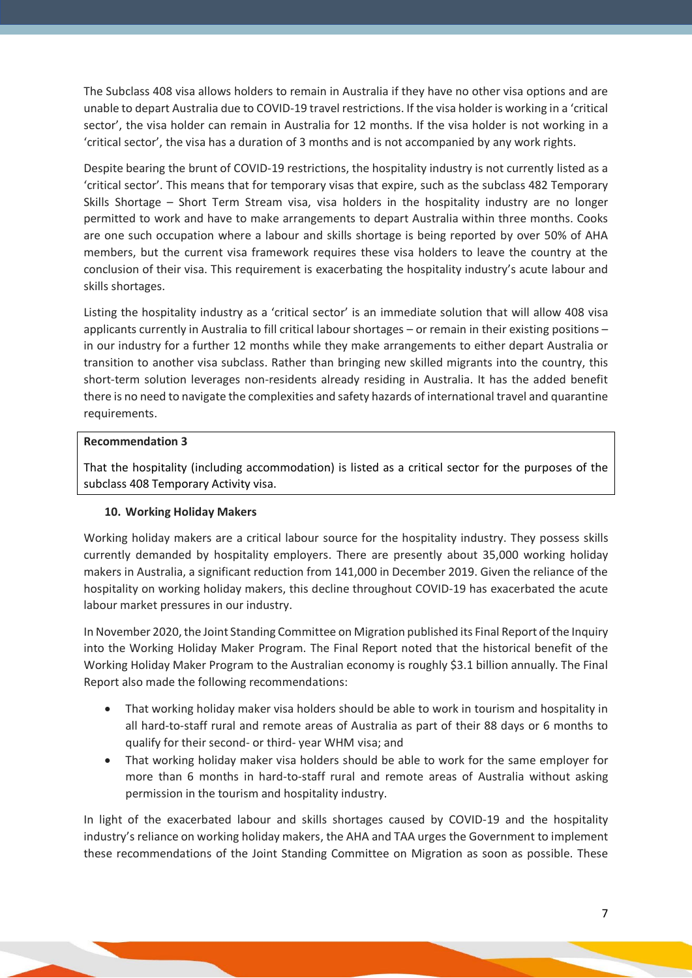The Subclass 408 visa allows holders to remain in Australia if they have no other visa options and are unable to depart Australia due to COVID-19 travel restrictions. If the visa holder is working in a 'critical sector', the visa holder can remain in Australia for 12 months. If the visa holder is not working in a 'critical sector', the visa has a duration of 3 months and is not accompanied by any work rights.

Despite bearing the brunt of COVID-19 restrictions, the hospitality industry is not currently listed as a 'critical sector'. This means that for temporary visas that expire, such as the subclass 482 Temporary Skills Shortage – Short Term Stream visa, visa holders in the hospitality industry are no longer permitted to work and have to make arrangements to depart Australia within three months. Cooks are one such occupation where a labour and skills shortage is being reported by over 50% of AHA members, but the current visa framework requires these visa holders to leave the country at the conclusion of their visa. This requirement is exacerbating the hospitality industry's acute labour and skills shortages.

Listing the hospitality industry as a 'critical sector' is an immediate solution that will allow 408 visa applicants currently in Australia to fill critical labour shortages – or remain in their existing positions – in our industry for a further 12 months while they make arrangements to either depart Australia or transition to another visa subclass. Rather than bringing new skilled migrants into the country, this short-term solution leverages non-residents already residing in Australia. It has the added benefit there is no need to navigate the complexities and safety hazards of international travel and quarantine requirements.

#### **Recommendation 3**

That the hospitality (including accommodation) is listed as a critical sector for the purposes of the subclass 408 Temporary Activity visa.

# **10. Working Holiday Makers**

Working holiday makers are a critical labour source for the hospitality industry. They possess skills currently demanded by hospitality employers. There are presently about 35,000 working holiday makers in Australia, a significant reduction from 141,000 in December 2019. Given the reliance of the hospitality on working holiday makers, this decline throughout COVID-19 has exacerbated the acute labour market pressures in our industry.

In November 2020, the Joint Standing Committee on Migration published its Final Report of the Inquiry into the Working Holiday Maker Program. The Final Report noted that the historical benefit of the Working Holiday Maker Program to the Australian economy is roughly \$3.1 billion annually. The Final Report also made the following recommendations:

- That working holiday maker visa holders should be able to work in tourism and hospitality in all hard-to-staff rural and remote areas of Australia as part of their 88 days or 6 months to qualify for their second- or third- year WHM visa; and
- That working holiday maker visa holders should be able to work for the same employer for more than 6 months in hard-to-staff rural and remote areas of Australia without asking permission in the tourism and hospitality industry.

In light of the exacerbated labour and skills shortages caused by COVID-19 and the hospitality industry's reliance on working holiday makers, the AHA and TAA urges the Government to implement these recommendations of the Joint Standing Committee on Migration as soon as possible. These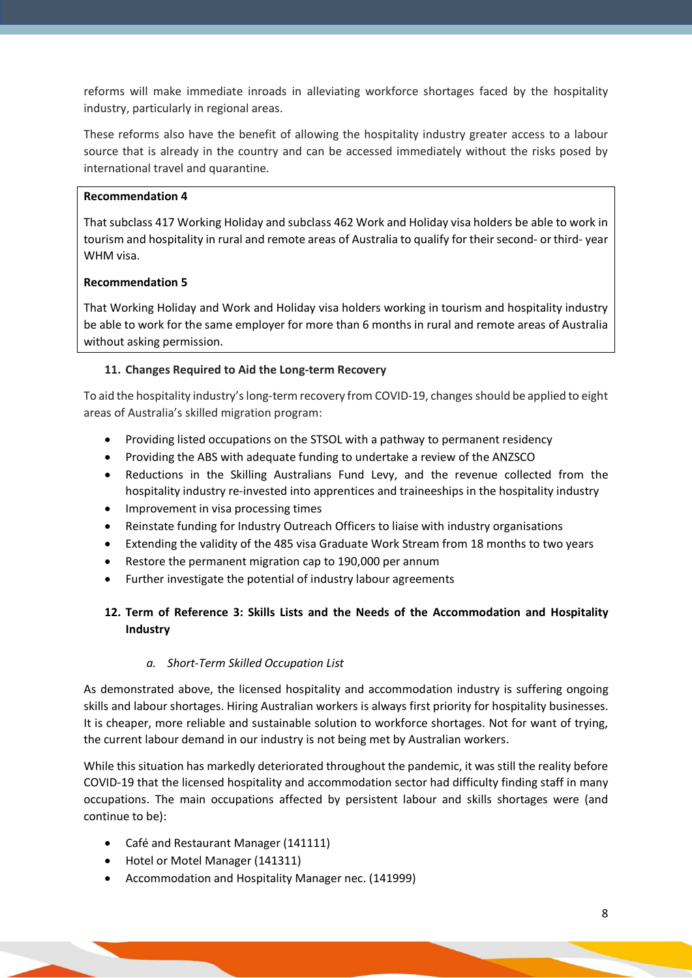reforms will make immediate inroads in alleviating workforce shortages faced by the hospitality industry, particularly in regional areas.

These reforms also have the benefit of allowing the hospitality industry greater access to a labour source that is already in the country and can be accessed immediately without the risks posed by international travel and quarantine.

#### **Recommendation 4**

That subclass 417 Working Holiday and subclass 462 Work and Holiday visa holders be able to work in tourism and hospitality in rural and remote areas of Australia to qualify for their second- or third- year WHM visa.

#### **Recommendation 5**

That Working Holiday and Work and Holiday visa holders working in tourism and hospitality industry be able to work for the same employer for more than 6 months in rural and remote areas of Australia without asking permission.

#### **11. Changes Required to Aid the Long-term Recovery**

To aid the hospitality industry's long-term recovery from COVID-19, changes should be applied to eight areas of Australia's skilled migration program:

- Providing listed occupations on the STSOL with a pathway to permanent residency
- Providing the ABS with adequate funding to undertake a review of the ANZSCO
- Reductions in the Skilling Australians Fund Levy, and the revenue collected from the hospitality industry re-invested into apprentices and traineeships in the hospitality industry
- Improvement in visa processing times
- Reinstate funding for Industry Outreach Officers to liaise with industry organisations
- Extending the validity of the 485 visa Graduate Work Stream from 18 months to two years
- Restore the permanent migration cap to 190,000 per annum
- Further investigate the potential of industry labour agreements

# **12. Term of Reference 3: Skills Lists and the Needs of the Accommodation and Hospitality Industry**

#### *a. Short-Term Skilled Occupation List*

As demonstrated above, the licensed hospitality and accommodation industry is suffering ongoing skills and labour shortages. Hiring Australian workers is always first priority for hospitality businesses. It is cheaper, more reliable and sustainable solution to workforce shortages. Not for want of trying, the current labour demand in our industry is not being met by Australian workers.

While this situation has markedly deteriorated throughout the pandemic, it was still the reality before COVID-19 that the licensed hospitality and accommodation sector had difficulty finding staff in many occupations. The main occupations affected by persistent labour and skills shortages were (and continue to be):

- Café and Restaurant Manager (141111)
- Hotel or Motel Manager (141311)
- Accommodation and Hospitality Manager nec. (141999)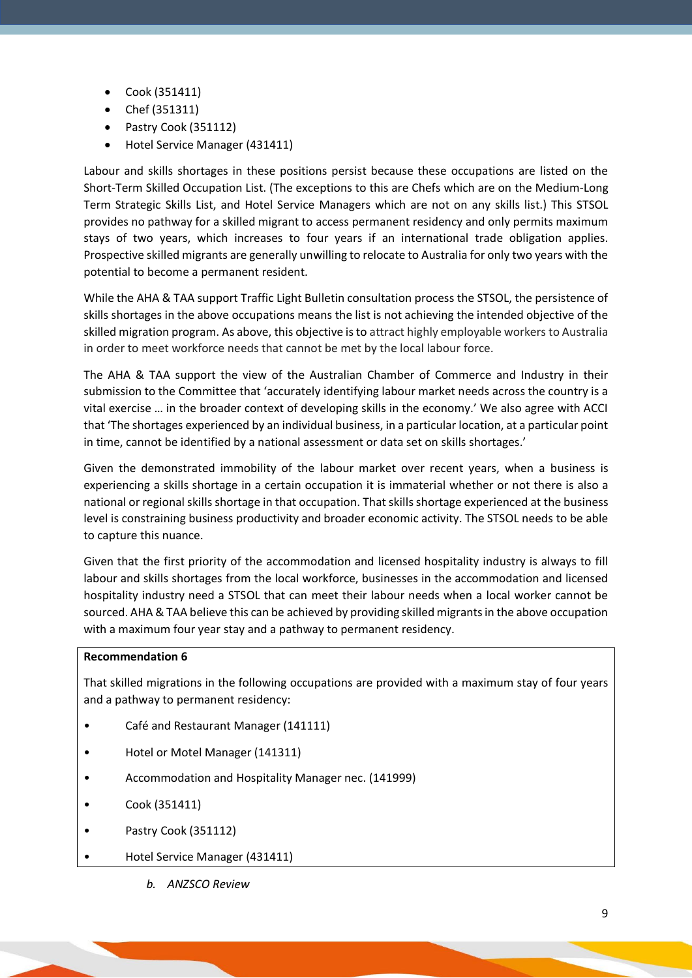- Cook (351411)
- Chef (351311)
- Pastry Cook (351112)
- Hotel Service Manager (431411)

Labour and skills shortages in these positions persist because these occupations are listed on the Short-Term Skilled Occupation List. (The exceptions to this are Chefs which are on the Medium-Long Term Strategic Skills List, and Hotel Service Managers which are not on any skills list.) This STSOL provides no pathway for a skilled migrant to access permanent residency and only permits maximum stays of two years, which increases to four years if an international trade obligation applies. Prospective skilled migrants are generally unwilling to relocate to Australia for only two years with the potential to become a permanent resident.

While the AHA & TAA support Traffic Light Bulletin consultation process the STSOL, the persistence of skills shortages in the above occupations means the list is not achieving the intended objective of the skilled migration program. As above, this objective is to attract highly employable workers to Australia in order to meet workforce needs that cannot be met by the local labour force.

The AHA & TAA support the view of the Australian Chamber of Commerce and Industry in their submission to the Committee that 'accurately identifying labour market needs across the country is a vital exercise … in the broader context of developing skills in the economy.' We also agree with ACCI that 'The shortages experienced by an individual business, in a particular location, at a particular point in time, cannot be identified by a national assessment or data set on skills shortages.'

Given the demonstrated immobility of the labour market over recent years, when a business is experiencing a skills shortage in a certain occupation it is immaterial whether or not there is also a national or regional skills shortage in that occupation. That skills shortage experienced at the business level is constraining business productivity and broader economic activity. The STSOL needs to be able to capture this nuance.

Given that the first priority of the accommodation and licensed hospitality industry is always to fill labour and skills shortages from the local workforce, businesses in the accommodation and licensed hospitality industry need a STSOL that can meet their labour needs when a local worker cannot be sourced. AHA & TAA believe this can be achieved by providing skilled migrants in the above occupation with a maximum four year stay and a pathway to permanent residency.

### **Recommendation 6**

That skilled migrations in the following occupations are provided with a maximum stay of four years and a pathway to permanent residency:

- Café and Restaurant Manager (141111)
- Hotel or Motel Manager (141311)
- Accommodation and Hospitality Manager nec. (141999)
- Cook (351411)
- Pastry Cook (351112)
- Hotel Service Manager (431411)

*b. ANZSCO Review*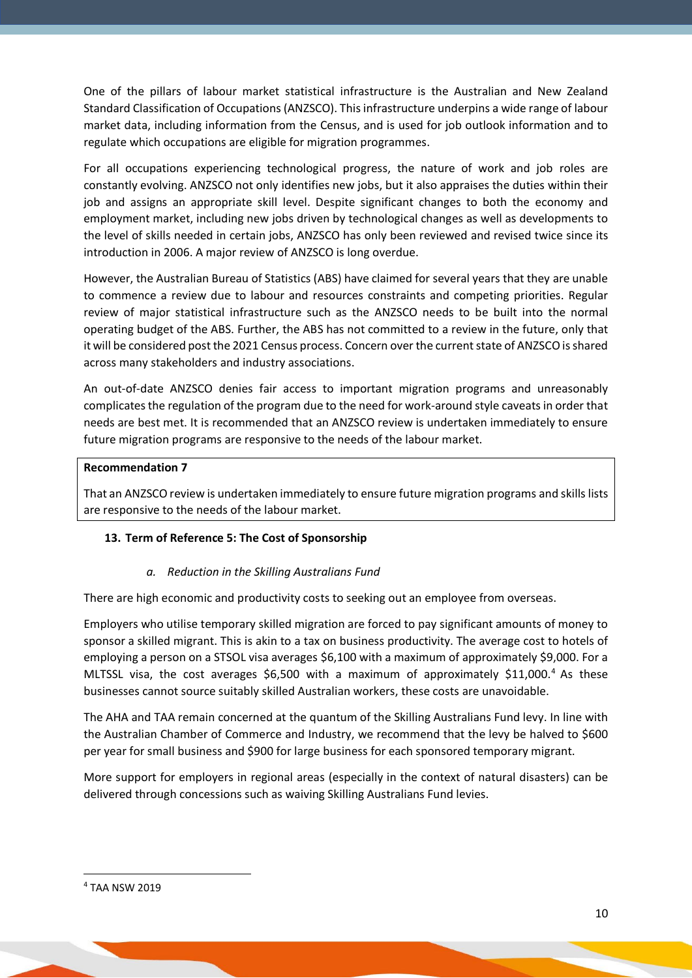One of the pillars of labour market statistical infrastructure is the Australian and New Zealand Standard Classification of Occupations (ANZSCO). This infrastructure underpins a wide range of labour market data, including information from the Census, and is used for job outlook information and to regulate which occupations are eligible for migration programmes.

For all occupations experiencing technological progress, the nature of work and job roles are constantly evolving. ANZSCO not only identifies new jobs, but it also appraises the duties within their job and assigns an appropriate skill level. Despite significant changes to both the economy and employment market, including new jobs driven by technological changes as well as developments to the level of skills needed in certain jobs, ANZSCO has only been reviewed and revised twice since its introduction in 2006. A major review of ANZSCO is long overdue.

However, the Australian Bureau of Statistics (ABS) have claimed for several years that they are unable to commence a review due to labour and resources constraints and competing priorities. Regular review of major statistical infrastructure such as the ANZSCO needs to be built into the normal operating budget of the ABS. Further, the ABS has not committed to a review in the future, only that it will be considered post the 2021 Census process. Concern over the current state of ANZSCO is shared across many stakeholders and industry associations.

An out-of-date ANZSCO denies fair access to important migration programs and unreasonably complicates the regulation of the program due to the need for work-around style caveats in order that needs are best met. It is recommended that an ANZSCO review is undertaken immediately to ensure future migration programs are responsive to the needs of the labour market.

#### **Recommendation 7**

That an ANZSCO review is undertaken immediately to ensure future migration programs and skills lists are responsive to the needs of the labour market.

#### **13. Term of Reference 5: The Cost of Sponsorship**

#### *a. Reduction in the Skilling Australians Fund*

There are high economic and productivity costs to seeking out an employee from overseas.

Employers who utilise temporary skilled migration are forced to pay significant amounts of money to sponsor a skilled migrant. This is akin to a tax on business productivity. The average cost to hotels of employing a person on a STSOL visa averages \$6,100 with a maximum of approximately \$9,000. For a MLTSSL visa, the cost averages \$6,500 with a maximum of approximately \$11,000.<sup>[4](#page-9-0)</sup> As these businesses cannot source suitably skilled Australian workers, these costs are unavoidable.

The AHA and TAA remain concerned at the quantum of the Skilling Australians Fund levy. In line with the Australian Chamber of Commerce and Industry, we recommend that the levy be halved to \$600 per year for small business and \$900 for large business for each sponsored temporary migrant.

More support for employers in regional areas (especially in the context of natural disasters) can be delivered through concessions such as waiving Skilling Australians Fund levies.

<span id="page-9-0"></span><sup>4</sup> TAA NSW 2019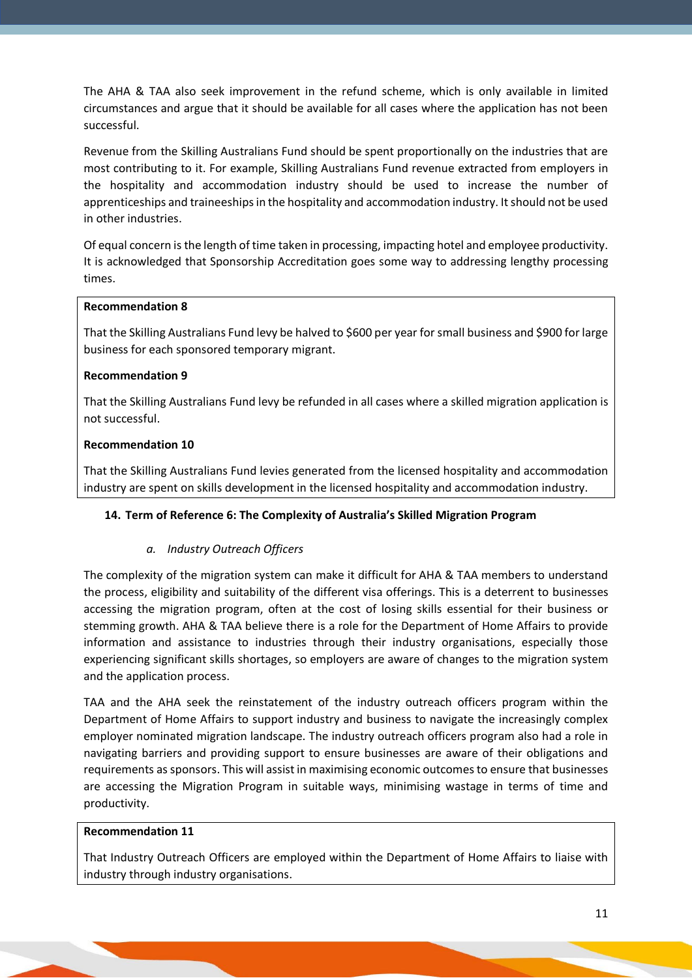The AHA & TAA also seek improvement in the refund scheme, which is only available in limited circumstances and argue that it should be available for all cases where the application has not been successful.

Revenue from the Skilling Australians Fund should be spent proportionally on the industries that are most contributing to it. For example, Skilling Australians Fund revenue extracted from employers in the hospitality and accommodation industry should be used to increase the number of apprenticeships and traineeships in the hospitality and accommodation industry. It should not be used in other industries.

Of equal concern is the length of time taken in processing, impacting hotel and employee productivity. It is acknowledged that Sponsorship Accreditation goes some way to addressing lengthy processing times.

#### **Recommendation 8**

That the Skilling Australians Fund levy be halved to \$600 per year for small business and \$900 for large business for each sponsored temporary migrant.

#### **Recommendation 9**

That the Skilling Australians Fund levy be refunded in all cases where a skilled migration application is not successful.

#### **Recommendation 10**

That the Skilling Australians Fund levies generated from the licensed hospitality and accommodation industry are spent on skills development in the licensed hospitality and accommodation industry.

#### **14. Term of Reference 6: The Complexity of Australia's Skilled Migration Program**

#### *a. Industry Outreach Officers*

The complexity of the migration system can make it difficult for AHA & TAA members to understand the process, eligibility and suitability of the different visa offerings. This is a deterrent to businesses accessing the migration program, often at the cost of losing skills essential for their business or stemming growth. AHA & TAA believe there is a role for the Department of Home Affairs to provide information and assistance to industries through their industry organisations, especially those experiencing significant skills shortages, so employers are aware of changes to the migration system and the application process.

TAA and the AHA seek the reinstatement of the industry outreach officers program within the Department of Home Affairs to support industry and business to navigate the increasingly complex employer nominated migration landscape. The industry outreach officers program also had a role in navigating barriers and providing support to ensure businesses are aware of their obligations and requirements as sponsors. This will assist in maximising economic outcomes to ensure that businesses are accessing the Migration Program in suitable ways, minimising wastage in terms of time and productivity.

#### **Recommendation 11**

That Industry Outreach Officers are employed within the Department of Home Affairs to liaise with industry through industry organisations.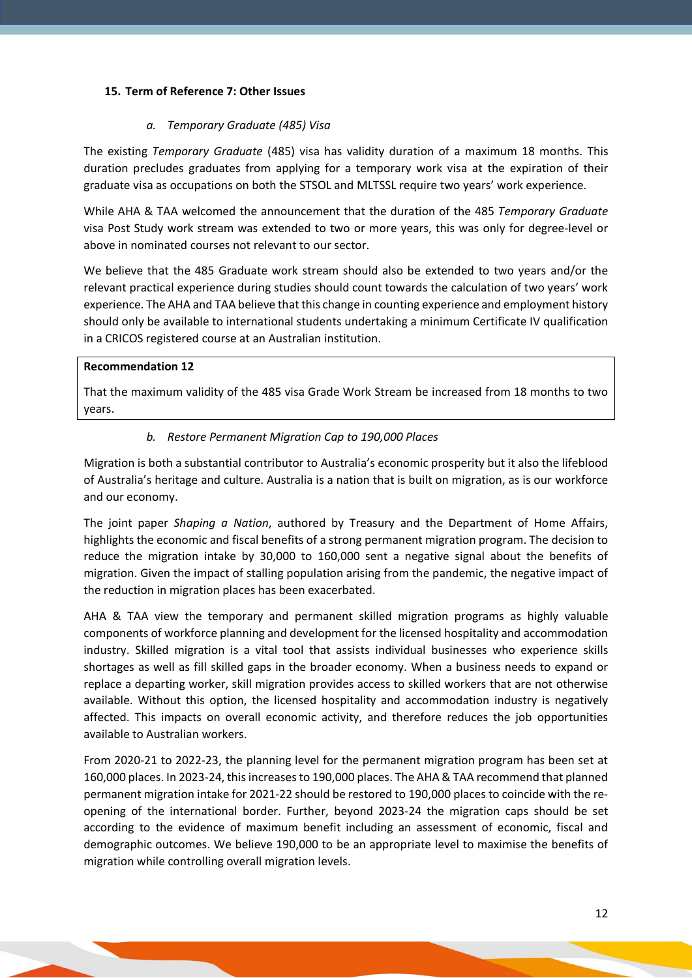### **15. Term of Reference 7: Other Issues**

### *a. Temporary Graduate (485) Visa*

The existing *Temporary Graduate* (485) visa has validity duration of a maximum 18 months. This duration precludes graduates from applying for a temporary work visa at the expiration of their graduate visa as occupations on both the STSOL and MLTSSL require two years' work experience.

While AHA & TAA welcomed the announcement that the duration of the 485 *Temporary Graduate*  visa Post Study work stream was extended to two or more years, this was only for degree-level or above in nominated courses not relevant to our sector.

We believe that the 485 Graduate work stream should also be extended to two years and/or the relevant practical experience during studies should count towards the calculation of two years' work experience. The AHA and TAA believe that this change in counting experience and employment history should only be available to international students undertaking a minimum Certificate IV qualification in a CRICOS registered course at an Australian institution.

#### **Recommendation 12**

That the maximum validity of the 485 visa Grade Work Stream be increased from 18 months to two years.

### *b. Restore Permanent Migration Cap to 190,000 Places*

Migration is both a substantial contributor to Australia's economic prosperity but it also the lifeblood of Australia's heritage and culture. Australia is a nation that is built on migration, as is our workforce and our economy.

The joint paper *Shaping a Nation*, authored by Treasury and the Department of Home Affairs, highlights the economic and fiscal benefits of a strong permanent migration program. The decision to reduce the migration intake by 30,000 to 160,000 sent a negative signal about the benefits of migration. Given the impact of stalling population arising from the pandemic, the negative impact of the reduction in migration places has been exacerbated.

AHA & TAA view the temporary and permanent skilled migration programs as highly valuable components of workforce planning and development for the licensed hospitality and accommodation industry. Skilled migration is a vital tool that assists individual businesses who experience skills shortages as well as fill skilled gaps in the broader economy. When a business needs to expand or replace a departing worker, skill migration provides access to skilled workers that are not otherwise available. Without this option, the licensed hospitality and accommodation industry is negatively affected. This impacts on overall economic activity, and therefore reduces the job opportunities available to Australian workers.

From 2020-21 to 2022-23, the planning level for the permanent migration program has been set at 160,000 places. In 2023-24, this increases to 190,000 places. The AHA & TAA recommend that planned permanent migration intake for 2021-22 should be restored to 190,000 places to coincide with the reopening of the international border. Further, beyond 2023-24 the migration caps should be set according to the evidence of maximum benefit including an assessment of economic, fiscal and demographic outcomes. We believe 190,000 to be an appropriate level to maximise the benefits of migration while controlling overall migration levels.